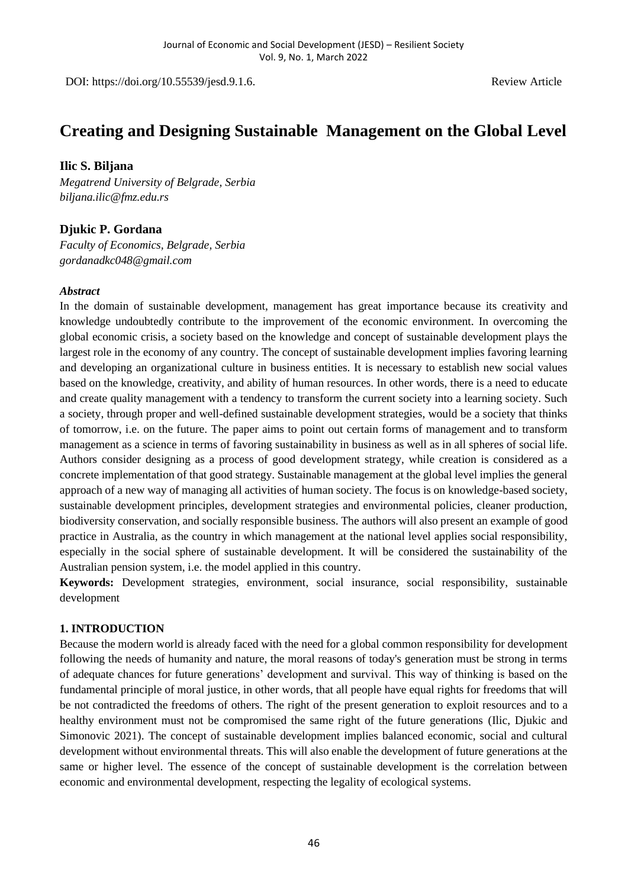DOI: https://doi.org/10.55539/jesd.9.1.6. Review Article

# **Creating and Designing Sustainable Management on the Global Level**

## **Ilic S. Biljana**

*Megatrend University of Belgrade, Serbia biljana.ilic@fmz.edu.rs*

# **Djukic P. Gordana**

*Faculty of Economics, Belgrade, Serbia gordanadkc048@gmail.com*

#### *Abstract*

In the domain of sustainable development, management has great importance because its creativity and knowledge undoubtedly contribute to the improvement of the economic environment. In overcoming the global economic crisis, a society based on the knowledge and concept of sustainable development plays the largest role in the economy of any country. The concept of sustainable development implies favoring learning and developing an organizational culture in business entities. It is necessary to establish new social values based on the knowledge, creativity, and ability of human resources. In other words, there is a need to educate and create quality management with a tendency to transform the current society into a learning society. Such a society, through proper and well-defined sustainable development strategies, would be a society that thinks of tomorrow, i.e. on the future. The paper aims to point out certain forms of management and to transform management as a science in terms of favoring sustainability in business as well as in all spheres of social life. Authors consider designing as a process of good development strategy, while creation is considered as a concrete implementation of that good strategy. Sustainable management at the global level implies the general approach of a new way of managing all activities of human society. The focus is on knowledge-based society, sustainable development principles, development strategies and environmental policies, cleaner production, biodiversity conservation, and socially responsible business. The authors will also present an example of good practice in Australia, as the country in which management at the national level applies social responsibility, especially in the social sphere of sustainable development. It will be considered the sustainability of the Australian pension system, i.e. the model applied in this country*.*

**Keywords:** Development strategies, environment, social insurance, social responsibility, sustainable development

## **1. INTRODUCTION**

Because the modern world is already faced with the need for a global common responsibility for development following the needs of humanity and nature, the moral reasons of today's generation must be strong in terms of adequate chances for future generations' development and survival. This way of thinking is based on the fundamental principle of moral justice, in other words, that all people have equal rights for freedoms that will be not contradicted the freedoms of others. The right of the present generation to exploit resources and to a healthy environment must not be compromised the same right of the future generations (Ilic, Djukic and Simonovic 2021). The concept of sustainable development implies balanced economic, social and cultural development without environmental threats. This will also enable the development of future generations at the same or higher level. The essence of the concept of sustainable development is the correlation between economic and environmental development, respecting the legality of ecological systems.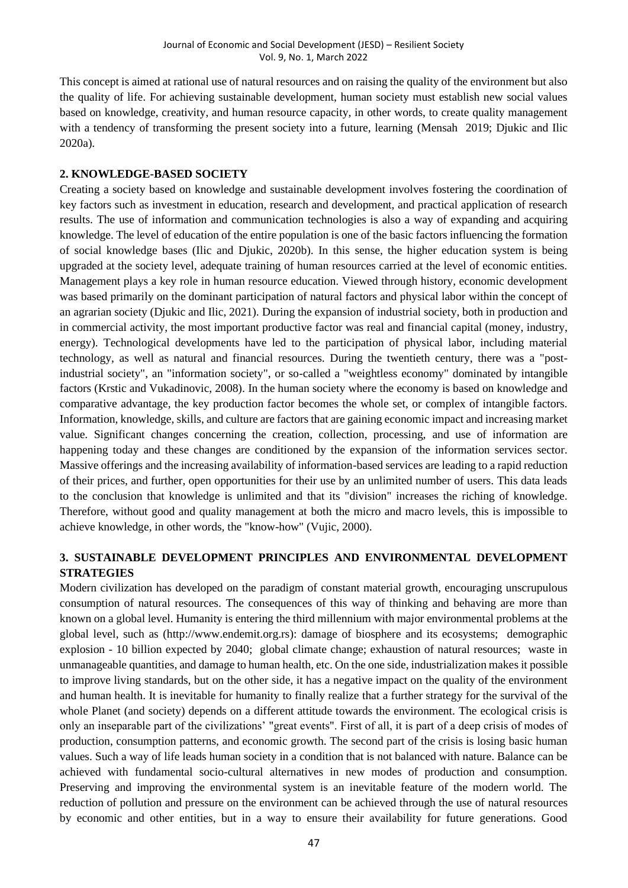This concept is aimed at rational use of natural resources and on raising the quality of the environment but also the quality of life. For achieving sustainable development, human society must establish new social values based on knowledge, creativity, and human resource capacity, in other words, to create quality management with a tendency of transforming the present society into a future, learning (Mensah 2019; Djukic and Ilic 2020a).

## **2. KNOWLEDGE-BASED SOCIETY**

Creating a society based on knowledge and sustainable development involves fostering the coordination of key factors such as investment in education, research and development, and practical application of research results. The use of information and communication technologies is also a way of expanding and acquiring knowledge. The level of education of the entire population is one of the basic factors influencing the formation of social knowledge bases (Ilic and Djukic, 2020b). In this sense, the higher education system is being upgraded at the society level, adequate training of human resources carried at the level of economic entities. Management plays a key role in human resource education. Viewed through history, economic development was based primarily on the dominant participation of natural factors and physical labor within the concept of an agrarian society (Djukic and Ilic, 2021). During the expansion of industrial society, both in production and in commercial activity, the most important productive factor was real and financial capital (money, industry, energy). Technological developments have led to the participation of physical labor, including material technology, as well as natural and financial resources. During the twentieth century, there was a "postindustrial society", an "information society", or so-called a "weightless economy" dominated by intangible factors (Krstic and Vukadinovic, 2008). In the human society where the economy is based on knowledge and comparative advantage, the key production factor becomes the whole set, or complex of intangible factors. Information, knowledge, skills, and culture are factors that are gaining economic impact and increasing market value. Significant changes concerning the creation, collection, processing, and use of information are happening today and these changes are conditioned by the expansion of the information services sector. Massive offerings and the increasing availability of information-based services are leading to a rapid reduction of their prices, and further, open opportunities for their use by an unlimited number of users. This data leads to the conclusion that knowledge is unlimited and that its "division" increases the riching of knowledge. Therefore, without good and quality management at both the micro and macro levels, this is impossible to achieve knowledge, in other words, the "know-how" (Vujic, 2000).

# **3. SUSTAINABLE DEVELOPMENT PRINCIPLES AND ENVIRONMENTAL DEVELOPMENT STRATEGIES**

Modern civilization has developed on the paradigm of constant material growth, encouraging unscrupulous consumption of natural resources. The consequences of this way of thinking and behaving are more than known on a global level. Humanity is entering the third millennium with major environmental problems at the global level, such as (http://www.endemit.org.rs): damage of biosphere and its ecosystems; demographic explosion - 10 billion expected by 2040; global climate change; exhaustion of natural resources; waste in unmanageable quantities, and damage to human health, etc. On the one side, industrialization makes it possible to improve living standards, but on the other side, it has a negative impact on the quality of the environment and human health. It is inevitable for humanity to finally realize that a further strategy for the survival of the whole Planet (and society) depends on a different attitude towards the environment. The ecological crisis is only an inseparable part of the civilizations' "great events". First of all, it is part of a deep crisis of modes of production, consumption patterns, and economic growth. The second part of the crisis is losing basic human values. Such a way of life leads human society in a condition that is not balanced with nature. Balance can be achieved with fundamental socio-cultural alternatives in new modes of production and consumption. Preserving and improving the environmental system is an inevitable feature of the modern world. The reduction of pollution and pressure on the environment can be achieved through the use of natural resources by economic and other entities, but in a way to ensure their availability for future generations. Good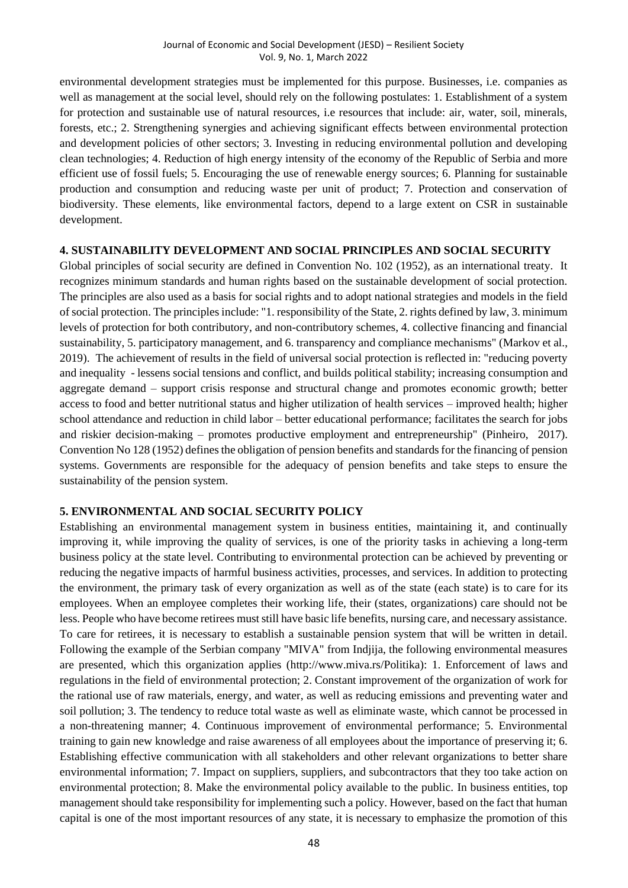environmental development strategies must be implemented for this purpose. Businesses, i.e. companies as well as management at the social level, should rely on the following postulates: 1. Establishment of a system for protection and sustainable use of natural resources, i.e resources that include: air, water, soil, minerals, forests, etc.; 2. Strengthening synergies and achieving significant effects between environmental protection and development policies of other sectors; 3. Investing in reducing environmental pollution and developing clean technologies; 4. Reduction of high energy intensity of the economy of the Republic of Serbia and more efficient use of fossil fuels; 5. Encouraging the use of renewable energy sources; 6. Planning for sustainable production and consumption and reducing waste per unit of product; 7. Protection and conservation of biodiversity. These elements, like environmental factors, depend to a large extent on CSR in sustainable development.

#### **4. SUSTAINABILITY DEVELOPMENT AND SOCIAL PRINCIPLES AND SOCIAL SECURITY**

Global principles of social security are defined in Convention No. 102 (1952), as an international treaty. It recognizes minimum standards and human rights based on the sustainable development of social protection. The principles are also used as a basis for social rights and to adopt national strategies and models in the field of social protection. The principles include: "1. responsibility of the State, 2. rights defined by law, 3. minimum levels of protection for both contributory, and non-contributory schemes, 4. collective financing and financial sustainability, 5. participatory management, and 6. transparency and compliance mechanisms" (Markov et al., 2019). The achievement of results in the field of universal social protection is reflected in: "reducing poverty and inequality - lessens social tensions and conflict, and builds political stability; increasing consumption and aggregate demand – support crisis response and structural change and promotes economic growth; better access to food and better nutritional status and higher utilization of health services – improved health; higher school attendance and reduction in child labor – better educational performance; facilitates the search for jobs and riskier decision-making – promotes productive employment and entrepreneurship" (Pinheiro, 2017). Convention No 128 (1952) defines the obligation of pension benefits and standards for the financing of pension systems. Governments are responsible for the adequacy of pension benefits and take steps to ensure the sustainability of the pension system.

## **5. ENVIRONMENTAL AND SOCIAL SECURITY POLICY**

Establishing an environmental management system in business entities, maintaining it, and continually improving it, while improving the quality of services, is one of the priority tasks in achieving a long-term business policy at the state level. Contributing to environmental protection can be achieved by preventing or reducing the negative impacts of harmful business activities, processes, and services. In addition to protecting the environment, the primary task of every organization as well as of the state (each state) is to care for its employees. When an employee completes their working life, their (states, organizations) care should not be less. People who have become retirees must still have basic life benefits, nursing care, and necessary assistance. To care for retirees, it is necessary to establish a sustainable pension system that will be written in detail. Following the example of the Serbian company "MIVA" from Indjija, the following environmental measures are presented, which this organization applies (http://www.miva.rs/Politika): 1. Enforcement of laws and regulations in the field of environmental protection; 2. Constant improvement of the organization of work for the rational use of raw materials, energy, and water, as well as reducing emissions and preventing water and soil pollution; 3. The tendency to reduce total waste as well as eliminate waste, which cannot be processed in a non-threatening manner; 4. Continuous improvement of environmental performance; 5. Environmental training to gain new knowledge and raise awareness of all employees about the importance of preserving it; 6. Establishing effective communication with all stakeholders and other relevant organizations to better share environmental information; 7. Impact on suppliers, suppliers, and subcontractors that they too take action on environmental protection; 8. Make the environmental policy available to the public. In business entities, top management should take responsibility for implementing such a policy. However, based on the fact that human capital is one of the most important resources of any state, it is necessary to emphasize the promotion of this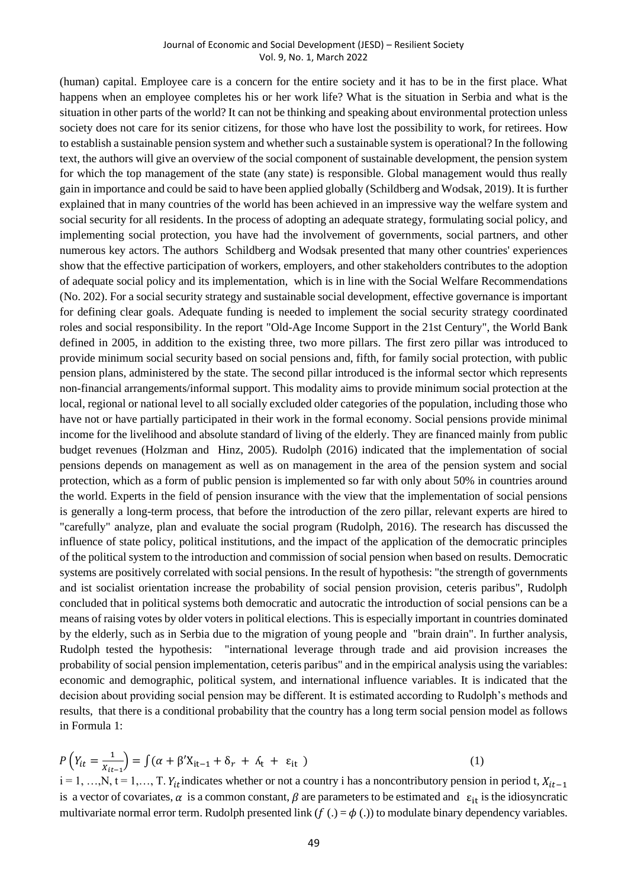#### Journal of Economic and Social Development (JESD) – Resilient Society Vol. 9, No. 1, March 2022

(human) capital. Employee care is a concern for the entire society and it has to be in the first place. What happens when an employee completes his or her work life? What is the situation in Serbia and what is the situation in other parts of the world? It can not be thinking and speaking about environmental protection unless society does not care for its senior citizens, for those who have lost the possibility to work, for retirees. How to establish a sustainable pension system and whether such a sustainable system is operational? In the following text, the authors will give an overview of the social component of sustainable development, the pension system for which the top management of the state (any state) is responsible. Global management would thus really gain in importance and could be said to have been applied globally (Schildberg and Wodsak, 2019). It is further explained that in many countries of the world has been achieved in an impressive way the welfare system and social security for all residents. In the process of adopting an adequate strategy, formulating social policy, and implementing social protection, you have had the involvement of governments, social partners, and other numerous key actors. The authors Schildberg and Wodsak presented that many other countries' experiences show that the effective participation of workers, employers, and other stakeholders contributes to the adoption of adequate social policy and its implementation, which is in line with the Social Welfare Recommendations (No. 202). For a social security strategy and sustainable social development, effective governance is important for defining clear goals. Adequate funding is needed to implement the social security strategy coordinated roles and social responsibility. In the report "Old-Age Income Support in the 21st Century", the World Bank defined in 2005, in addition to the existing three, two more pillars. The first zero pillar was introduced to provide minimum social security based on social pensions and, fifth, for family social protection, with public pension plans, administered by the state. The second pillar introduced is the informal sector which represents non-financial arrangements/informal support. This modality aims to provide minimum social protection at the local, regional or national level to all socially excluded older categories of the population, including those who have not or have partially participated in their work in the formal economy. Social pensions provide minimal income for the livelihood and absolute standard of living of the elderly. They are financed mainly from public budget revenues (Holzman and Hinz, 2005). Rudolph (2016) indicated that the implementation of social pensions depends on management as well as on management in the area of the pension system and social protection, which as a form of public pension is implemented so far with only about 50% in countries around the world. Experts in the field of pension insurance with the view that the implementation of social pensions is generally a long-term process, that before the introduction of the zero pillar, relevant experts are hired to "carefully" analyze, plan and evaluate the social program (Rudolph, 2016). The research has discussed the influence of state policy, political institutions, and the impact of the application of the democratic principles of the political system to the introduction and commission of social pension when based on results. Democratic systems are positively correlated with social pensions. In the result of hypothesis: "the strength of governments and ist socialist orientation increase the probability of social pension provision, ceteris paribus", Rudolph concluded that in political systems both democratic and autocratic the introduction of social pensions can be a means of raising votes by older voters in political elections. This is especially important in countries dominated by the elderly, such as in Serbia due to the migration of young people and "brain drain". In further analysis, Rudolph tested the hypothesis: "international leverage through trade and aid provision increases the probability of social pension implementation, ceteris paribus" and in the empirical analysis using the variables: economic and demographic, political system, and international influence variables. It is indicated that the decision about providing social pension may be different. It is estimated according to Rudolph's methods and results, that there is a conditional probability that the country has a long term social pension model as follows in Formula 1:

$$
P(Y_{it} = \frac{1}{X_{it-1}}) = \int (\alpha + \beta' X_{it-1} + \delta_r + \delta_t + \epsilon_{it})
$$
\n(1)  
\ni = 1, ..., N, t = 1, ..., T.  $Y_{it}$  indicates whether or not a country i has a noncontributiony pension in period t,  $X_{it-1}$   
\nis a vector of covariates,  $\alpha$  is a common constant,  $\beta$  are parameters to be estimated and  $\epsilon_{it}$  is the idiosyncratic  
\nmultivariate normal error term. Rudolph presented link  $(f(.) = \phi(.))$  to modulate binary dependency variables.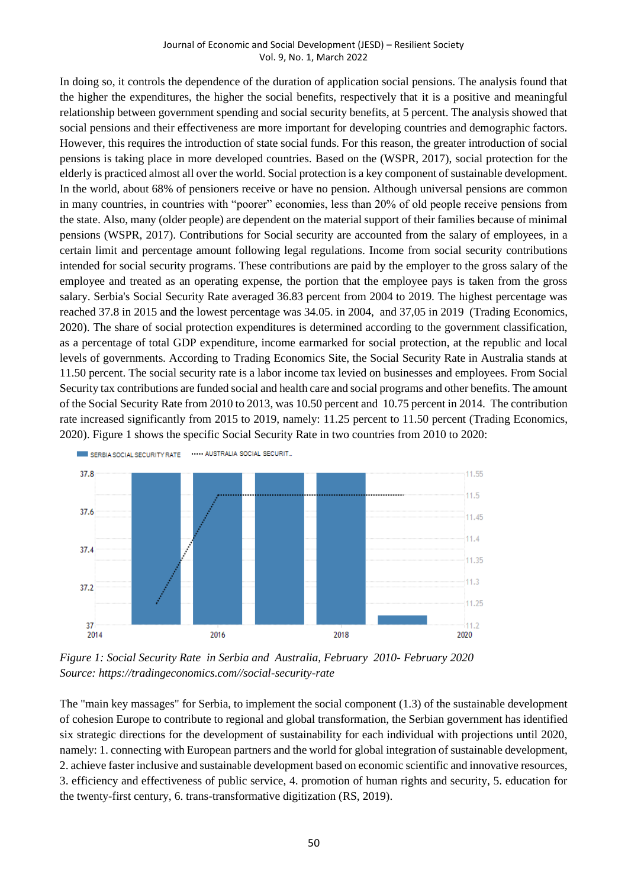#### Journal of Economic and Social Development (JESD) – Resilient Society Vol. 9, No. 1, March 2022

In doing so, it controls the dependence of the duration of application social pensions. The analysis found that the higher the expenditures, the higher the social benefits, respectively that it is a positive and meaningful relationship between government spending and social security benefits, at 5 percent. The analysis showed that social pensions and their effectiveness are more important for developing countries and demographic factors. However, this requires the introduction of state social funds. For this reason, the greater introduction of social pensions is taking place in more developed countries. Based on the (WSPR, 2017), social protection for the elderly is practiced almost all over the world. Social protection is a key component of sustainable development. In the world, about 68% of pensioners receive or have no pension. Although universal pensions are common in many countries, in countries with "poorer" economies, less than 20% of old people receive pensions from the state. Also, many (older people) are dependent on the material support of their families because of minimal pensions (WSPR, 2017). Contributions for Social security are accounted from the salary of employees, in a certain limit and percentage amount following legal regulations. Income from social security contributions intended for social security programs. These contributions are paid by the employer to the gross salary of the employee and treated as an operating expense, the portion that the employee pays is taken from the gross salary. Serbia's Social Security Rate averaged 36.83 percent from 2004 to 2019. The highest percentage was reached 37.8 in 2015 and the lowest percentage was 34.05. in 2004, and 37,05 in 2019 (Trading Economics, 2020). The share of social protection expenditures is determined according to the government classification, as a percentage of total GDP expenditure, income earmarked for social protection, at the republic and local levels of governments. According to Trading Economics Site, the Social Security Rate in Australia stands at 11.50 percent. The social security rate is a labor income tax levied on businesses and employees. From Social Security tax contributions are funded social and health care and social programs and other benefits. The amount of the Social Security Rate from 2010 to 2013, was 10.50 percent and 10.75 percent in 2014. The contribution rate increased significantly from 2015 to 2019, namely: 11.25 percent to 11.50 percent (Trading Economics, 2020). Figure 1 shows the specific Social Security Rate in two countries from 2010 to 2020:



*Figure 1: Social Security Rate in Serbia and Australia, February 2010- February 2020 Source: https://tradingeconomics.com//social-security-rate*

The "main key massages" for Serbia, to implement the social component (1.3) of the sustainable development of cohesion Europe to contribute to regional and global transformation, the Serbian government has identified six strategic directions for the development of sustainability for each individual with projections until 2020, namely: 1. connecting with European partners and the world for global integration of sustainable development, 2. achieve faster inclusive and sustainable development based on economic scientific and innovative resources, 3. efficiency and effectiveness of public service, 4. promotion of human rights and security, 5. education for the twenty-first century, 6. trans-transformative digitization (RS, 2019).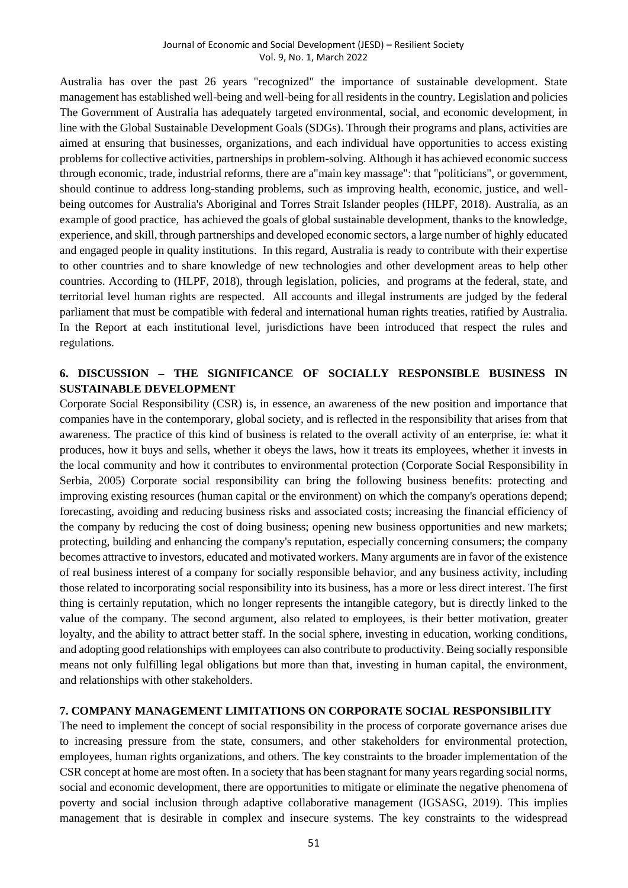Australia has over the past 26 years "recognized" the importance of sustainable development. State management has established well-being and well-being for all residents in the country. Legislation and policies The Government of Australia has adequately targeted environmental, social, and economic development, in line with the Global Sustainable Development Goals (SDGs). Through their programs and plans, activities are aimed at ensuring that businesses, organizations, and each individual have opportunities to access existing problems for collective activities, partnerships in problem-solving. Although it has achieved economic success through economic, trade, industrial reforms, there are a"main key massage": that "politicians", or government, should continue to address long-standing problems, such as improving health, economic, justice, and wellbeing outcomes for Australia's Aboriginal and Torres Strait Islander peoples (HLPF, 2018). Australia, as an example of good practice, has achieved the goals of global sustainable development, thanks to the knowledge, experience, and skill, through partnerships and developed economic sectors, a large number of highly educated and engaged people in quality institutions. In this regard, Australia is ready to contribute with their expertise to other countries and to share knowledge of new technologies and other development areas to help other countries. According to (HLPF, 2018), through legislation, policies, and programs at the federal, state, and territorial level human rights are respected. All accounts and illegal instruments are judged by the federal parliament that must be compatible with federal and international human rights treaties, ratified by Australia. In the Report at each institutional level, jurisdictions have been introduced that respect the rules and regulations.

# **6. DISCUSSION – THE SIGNIFICANCE OF SOCIALLY RESPONSIBLE BUSINESS IN SUSTAINABLE DEVELOPMENT**

Corporate Social Responsibility (CSR) is, in essence, an awareness of the new position and importance that companies have in the contemporary, global society, and is reflected in the responsibility that arises from that awareness. The practice of this kind of business is related to the overall activity of an enterprise, ie: what it produces, how it buys and sells, whether it obeys the laws, how it treats its employees, whether it invests in the local community and how it contributes to environmental protection (Corporate Social Responsibility in Serbia, 2005) Corporate social responsibility can bring the following business benefits: protecting and improving existing resources (human capital or the environment) on which the company's operations depend; forecasting, avoiding and reducing business risks and associated costs; increasing the financial efficiency of the company by reducing the cost of doing business; opening new business opportunities and new markets; protecting, building and enhancing the company's reputation, especially concerning consumers; the company becomes attractive to investors, educated and motivated workers. Many arguments are in favor of the existence of real business interest of a company for socially responsible behavior, and any business activity, including those related to incorporating social responsibility into its business, has a more or less direct interest. The first thing is certainly reputation, which no longer represents the intangible category, but is directly linked to the value of the company. The second argument, also related to employees, is their better motivation, greater loyalty, and the ability to attract better staff. In the social sphere, investing in education, working conditions, and adopting good relationships with employees can also contribute to productivity. Being socially responsible means not only fulfilling legal obligations but more than that, investing in human capital, the environment, and relationships with other stakeholders.

## **7. COMPANY MANAGEMENT LIMITATIONS ON CORPORATE SOCIAL RESPONSIBILITY**

The need to implement the concept of social responsibility in the process of corporate governance arises due to increasing pressure from the state, consumers, and other stakeholders for environmental protection, employees, human rights organizations, and others. The key constraints to the broader implementation of the CSR concept at home are most often. In a society that has been stagnant for many years regarding social norms, social and economic development, there are opportunities to mitigate or eliminate the negative phenomena of poverty and social inclusion through adaptive collaborative management (IGSASG, 2019). This implies management that is desirable in complex and insecure systems. The key constraints to the widespread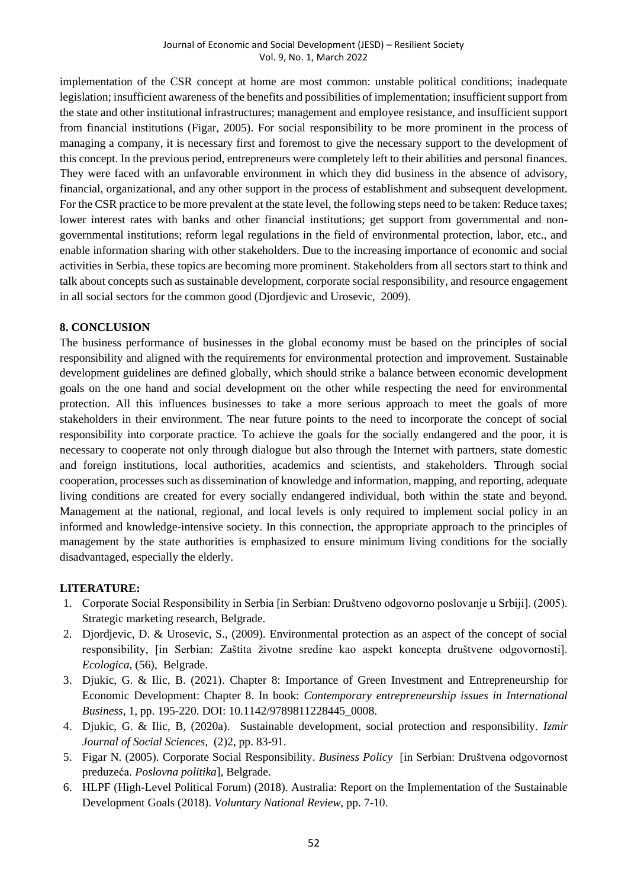implementation of the CSR concept at home are most common: unstable political conditions; inadequate legislation; insufficient awareness of the benefits and possibilities of implementation; insufficient support from the state and other institutional infrastructures; management and employee resistance, and insufficient support from financial institutions (Figar, 2005). For social responsibility to be more prominent in the process of managing a company, it is necessary first and foremost to give the necessary support to the development of this concept. In the previous period, entrepreneurs were completely left to their abilities and personal finances. They were faced with an unfavorable environment in which they did business in the absence of advisory, financial, organizational, and any other support in the process of establishment and subsequent development. For the CSR practice to be more prevalent at the state level, the following steps need to be taken: Reduce taxes; lower interest rates with banks and other financial institutions; get support from governmental and nongovernmental institutions; reform legal regulations in the field of environmental protection, labor, etc., and enable information sharing with other stakeholders. Due to the increasing importance of economic and social activities in Serbia, these topics are becoming more prominent. Stakeholders from all sectors start to think and talk about concepts such as sustainable development, corporate social responsibility, and resource engagement in all social sectors for the common good (Djordjevic and Urosevic, 2009).

## **8. CONCLUSION**

The business performance of businesses in the global economy must be based on the principles of social responsibility and aligned with the requirements for environmental protection and improvement. Sustainable development guidelines are defined globally, which should strike a balance between economic development goals on the one hand and social development on the other while respecting the need for environmental protection. All this influences businesses to take a more serious approach to meet the goals of more stakeholders in their environment. The near future points to the need to incorporate the concept of social responsibility into corporate practice. To achieve the goals for the socially endangered and the poor, it is necessary to cooperate not only through dialogue but also through the Internet with partners, state domestic and foreign institutions, local authorities, academics and scientists, and stakeholders. Through social cooperation, processes such as dissemination of knowledge and information, mapping, and reporting, adequate living conditions are created for every socially endangered individual, both within the state and beyond. Management at the national, regional, and local levels is only required to implement social policy in an informed and knowledge-intensive society. In this connection, the appropriate approach to the principles of management by the state authorities is emphasized to ensure minimum living conditions for the socially disadvantaged, especially the elderly.

## **LITERATURE:**

- 1. Corporate Social Responsibility in Serbia [in Serbian: Društveno odgovorno poslovanje u Srbiji]. (2005). Strategic marketing research, Belgrade.
- 2. Djordjevic, D. & Urosevic, S., (2009). Environmental protection as an aspect of the concept of social responsibility, [in Serbian: Zaštita životne sredine kao aspekt koncepta društvene odgovornosti]. *Ecologica,* (56), Belgrade.
- 3. Djukic, G. & Ilic, B. (2021). [Chapter 8: Importance of Green Investment and Entrepreneurship for](https://www.worldscientific.com/doi/10.1142/9789811228445_0008)  [Economic Development:](https://www.worldscientific.com/doi/10.1142/9789811228445_0008) Chapter 8. In book: *Contemporary entrepreneurship issues in International Business,* 1, pp. 195-220. [DOI: 10.1142/9789811228445\\_0008.](https://doi.org/10.1142/9789811228445_0008)
- 4. Djukic, G. & Ilic, B, (2020a). Sustainable development, social protection and responsibility. *Izmir Journal of Social Sciences,* (2)2, pp. 83-91.
- 5. Figar N. (2005). Corporate Social Responsibility. *Business Policy* [in Serbian: Društvena odgovornost preduzeća. *Poslovna politika*], Belgrade.
- 6. HLPF (High-Level Political Forum) (2018). Australia: Report on the Implementation of the Sustainable Development Goals (2018). *Voluntary National Review,* pp. 7-10.